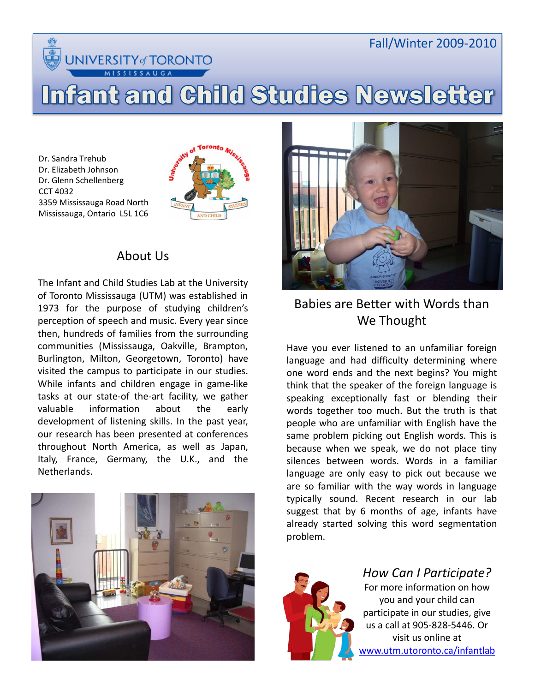**INIVERSITY of TORONTO** 

**SISSAUGA** 

# Fall/Winter 2009-2010

# Infant and Child Studies Newsletter

Dr. Sandra Trehub Dr. Elizabeth Johnson Dr. Glenn Schellenberg CCT 4032 3359 Mississauga Road North Mississauga, Ontario L5L 1C6



# About Us

The Infant and Child Studies Lab at the University of Toronto Mississauga (UTM) was established in 1973 for the purpose of studying children's perception of speech and music. Every year since then, hundreds of families from the surrounding communities (Mississauga, Oakville, Brampton, Burlington, Milton, Georgetown, Toronto) have visited the campus to participate in our studies. While infants and children engage in game-like tasks at our state-of the-art facility, we gather valuable information about the early development of listening skills. In the past year, our research has been presented at conferences throughout North America, as well as Japan, Italy, France, Germany, the U.K., and the Netherlands.





# Babies are Better with Words than We Thought

Have you ever listened to an unfamiliar foreign language and had difficulty determining where one word ends and the next begins? You might think that the speaker of the foreign language is speaking exceptionally fast or blending their words together too much. But the truth is that people who are unfamiliar with English have the same problem picking out English words. This is because when we speak, we do not place tiny silences between words. Words in a familiar language are only easy to pick out because we are so familiar with the way words in language typically sound. Recent research in our lab suggest that by 6 months of age, infants have already started solving this word segmentation problem.



*How Can I Participate?*

For more information on how you and your child can participate in our studies, give us a call at 905-828-5446. Or visit us online at [www.utm.utoronto.ca/infantlab](http://www.utm.utoronto.ca/infantlab)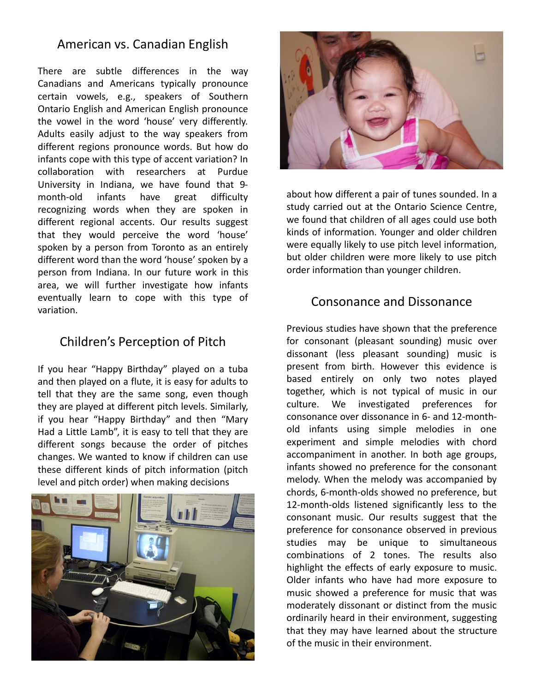#### American vs. Canadian English

There are subtle differences in the way Canadians and Americans typically pronounce certain vowels, e.g., speakers of Southern Ontario English and American English pronounce the vowel in the word 'house' very differently. Adults easily adjust to the way speakers from different regions pronounce words. But how do infants cope with this type of accent variation? In collaboration with researchers at Purdue University in Indiana, we have found that 9month"old infants have great difficulty recognizing words when they are spoken in different regional accents. Our results suggest that they would perceive the word 'house' spoken by a person from Toronto as an entirely different word than the word 'house' spoken by a person from Indiana. In our future work in this area, we will further investigate how infants eventually learn to cope with this type of variation.

# Children's Perception of Pitch

If you hear "Happy Birthday" played on a tuba and then played on a flute, it is easy for adults to tell that they are the same song, even though they are played at different pitch levels. Similarly, if you hear "Happy Birthday" and then "Mary Had a Little Lamb", it is easy to tell that they are different songs because the order of pitches changes. We wanted to know if children can use these different kinds of pitch information (pitch level and pitch order) when making decisions





about how different a pair of tunes sounded. In a study carried out at the Ontario Science Centre, we found that children of all ages could use both kinds of information. Younger and older children were equally likely to use pitch level information, but older children were more likely to use pitch order information than younger children.

## Consonance and Dissonance

. Previous studies have shown that the preference for consonant (pleasant sounding) music over dissonant (less pleasant sounding) music is present from birth. However this evidence is based entirely on only two notes played together, which is not typical of music in our culture. We investigated preferences for consonance over dissonance in 6- and 12-monthold infants using simple melodies in one experiment and simple melodies with chord accompaniment in another. In both age groups, infants showed no preference for the consonant melody. When the melody was accompanied by chords, 6-month-olds showed no preference, but 12-month-olds listened significantly less to the consonant music. Our results suggest that the preference for consonance observed in previous studies may be unique to simultaneous combinations of 2 tones. The results also highlight the effects of early exposure to music. Older infants who have had more exposure to music showed a preference for music that was moderately dissonant or distinct from the music ordinarily heard in their environment, suggesting that they may have learned about the structure of the music in their environment.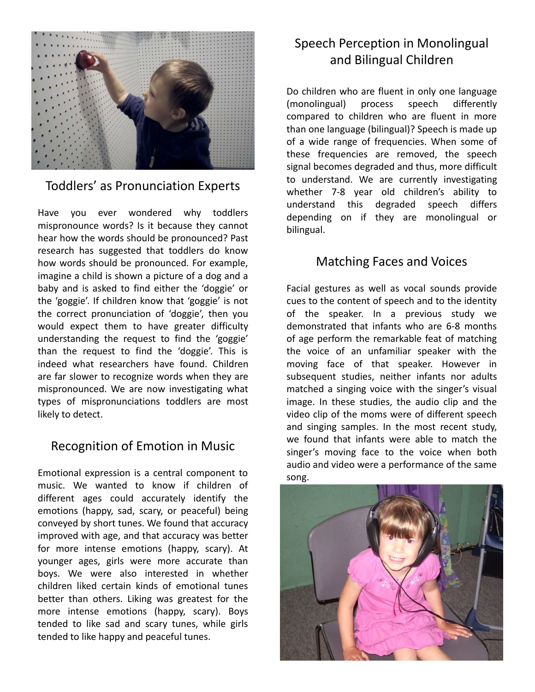

#### Toddlers' as Pronunciation Experts

Have you ever wondered why toddlers mispronounce words? Is it because they cannot hear how the words should be pronounced? Past research has suggested that toddlers do know how words should be pronounced. For example, imagine a child is shown a picture of a dog and a baby and is asked to find either the 'doggie' or the 'goggie'. If children know that 'goggie' is not the correct pronunciation of 'doggie', then you would expect them to have greater difficulty understanding the request to find the 'goggie' than the request to find the 'doggie'. This is indeed what researchers have found. Children are far slower to recognize words when they are mispronounced. We are now investigating what types of mispronunciations toddlers are most likely to detect.

#### Recognition of Emotion in Music

Emotional expression is a central component to music. We wanted to know if children of different ages could accurately identify the emotions (happy, sad, scary, or peaceful) being conveyed by short tunes. We found that accuracy improved with age, and that accuracy was better for more intense emotions (happy, scary). At younger ages, girls were more accurate than boys. We were also interested in whether children liked certain kinds of emotional tunes better than others. Liking was greatest for the more intense emotions (happy, scary). Boys tended to like sad and scary tunes, while girls tended to like happy and peaceful tunes.

# Speech Perception in Monolingual and Bilingual Children

Do children who are fluent in only one language (monolingual) process speech differently compared to children who are fluent in more than one language (bilingual)? Speech is made up of a wide range of frequencies. When some of these frequencies are removed, the speech signal becomes degraded and thus, more difficult to understand. We are currently investigating whether 7-8 year old children's ability to understand this degraded speech differs depending on if they are monolingual or bilingual.

## Matching Faces and Voices

Facial gestures as well as vocal sounds provide cues to the content of speech and to the identity of the speaker. In a previous study we demonstrated that infants who are 6-8 months of age perform the remarkable feat of matching the voice of an unfamiliar speaker with the moving face of that speaker. However in subsequent studies, neither infants nor adults matched a singing voice with the singer's visual image. In these studies, the audio clip and the video clip of the moms were of different speech and singing samples. In the most recent study, we found that infants were able to match the singer's moving face to the voice when both audio and video were a performance of the same song.